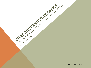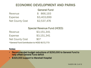### ECONOMIC DEVELOPMENT AND PARKS

|                        | <b>General Fund</b> |
|------------------------|---------------------|
| Revenue                | \$ 866,193          |
| <b>Expense</b>         | \$3,403,699         |
| <b>Net County Cost</b> | \$2,537,476         |

#### Special Revenue Fund (HCED)

Revenue \$3,151,341

Expense \$3,151,341

Net County Cost  $$0*$ 

\*General Fund Contribution to HCED \$172,773

#### Notes:

- Recommended budget reductions of \$250,000 to General Fund to help offset General Fund deficit
- \$320,000 support to Marshall Hospital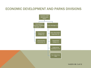### ECONOMIC DEVELOPMENT AND PARKS DIVISIONS



14-0219 6G 3 of 12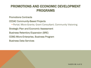# PROMOTIONS AND ECONOMIC DEVELOPMENT PROGRAMS

Promotions Contracts

CEDAC Community-Based Projects

**Portal; Micro-Grants; Grant Consultant; Community Visioning** 

Strategic Plan and Economic Assessment

Business Retention/Expansion (BRE)

CDBG Micro-Enterprise, Business Program

Business Data Services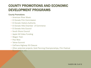## COUNTY PROMOTIONS AND ECONOMIC DEVELOPMENT PROGRAMS

#### County Promotions

- American River Music
- El Dorado Film Commission
- El Dorado Visitors Authority
- El Dorado Hills Chamber of Commerce
- El Dorado Arts Council
- South Shore Council
- Apple Hill Video Funding
- Wagon Train
- Pow Wow
- Tahoe Summit
- CalTrans Highway 50 Closure
- Other potential projects: Gold Panning Championships, Film Festival

Sponsorship, etc.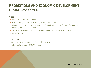### PROMOTIONS AND ECONOMIC DEVELOPMENT PROGRAMS CON'T.

#### **Projects**

- Web Portal Contract Glogou
- Grant Writing program Granting Writing Associates
- Missouri Flat Master Circulation and Financing Plan Cost Sharing for studies involving the business parks
- Center for Strategic Economic Research Report incentives and data
- Micro-Grants

#### Contributions:

- Marshall Hospital Cancer Center \$320,000
- Veterans Programs \$93,494 (5%)

14-0219 6G 6 of 12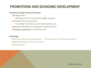# PROMOTIONS AND ECONOMIC DEVELOPMENT

#### Complete Existing Projects/Contracts

**□Strategic Plan** 

- **Will guide FY15-16 and future budget requests**
- **QComplete Policy Documents** 
	- **To include: Promotions, Event Sponsorships, etc.**
- **Q**Business Retention and Expansion Implementation

*Strategic Investment* in Local Economy

#### **Challenges**

□Defining "Economic Development" - "Enhancement of Productive Capacity"

- ■Regional/National Economic Growth
- **QLocal Policies**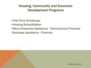# Housing, Community and Economic Development Programs

- First-Time Homebuyer
- **Housing Rehabilitation**
- Micro-Enterprise Assistance Technical and Financial
- Business Assistance Financial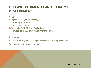# HOUSING, COMMUNITY AND ECONOMIC DEVELOPMENT

#### Goals

**QImplement Programs Effectively** 

- **Housing Assistance**
- **Business Assistance**

**O**Prepare for FY15-16 Grant Applications

**• Must expend 50% of existing grant funding first** 

#### **Challenges**

- $\Box$  New State Regulations Program Income and Existing (Open) Grants
- $\Box$  Finding eligible grant recipients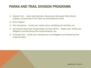### PARKS AND TRAIL DIVISION PROGRAMS

- □ Rubicon Trail Grant Administration, Sacramento Municipal Utility District projects, and Removal of the Clean Up and Abatement Order
- □ River Program -
- $\Box$  Park Operations facility use, master plans, identifying new facilities, etc.
- $\Box$  Sacramento Placerville Transportation Corridor (SPTC) Master plan, facility use, Mitigation and Monitoring Plan implementation, etc.
- $\Box$  El Dorado Trail facility use, maintenance, and Mitigation and Monitoring Plan implementation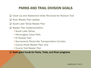### PARKS AND TRAIL DIVISION GOALS

- **□ Clean Up and Abatement Order Removed for Rubicon Trail**
- $\Box$  River Master Plan Update
- □ South Lake Tahoe Master Plan
- **□** Master Plan Implementation:
	- South Lake Tahoe;
	- **Henningsen Lotus Park;**
	- **El Dorado Trail;**
	- Sacramento Placerville Transportation Corridor;
	- County Parks Master Plan; and
	- County Trail Master Plan

**□ Seek grant funds for Parks, Trails, and River programs**